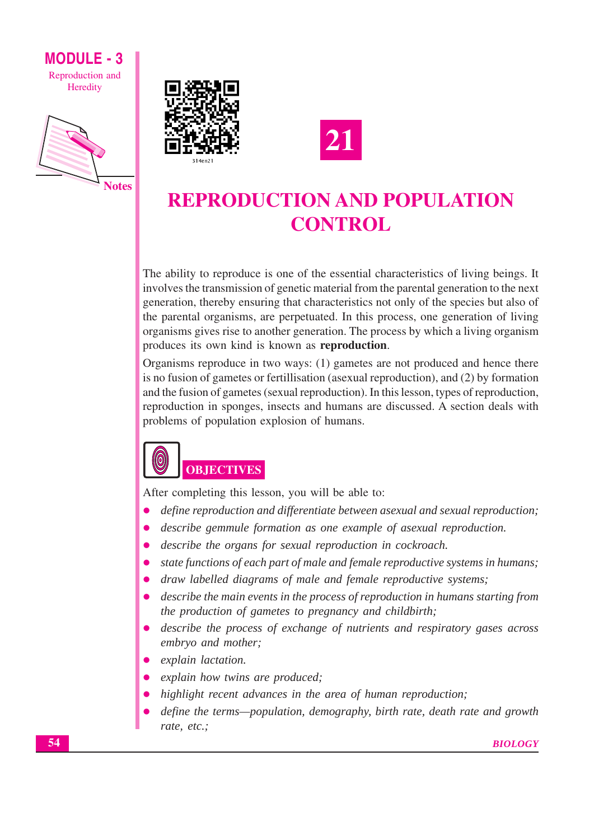





# **REPRODUCTION AND POPULATION CONTROL**

The ability to reproduce is one of the essential characteristics of living beings. It involves the transmission of genetic material from the parental generation to the next generation, thereby ensuring that characteristics not only of the species but also of the parental organisms, are perpetuated. In this process, one generation of living organisms gives rise to another generation. The process by which a living organism produces its own kind is known as reproduction.

Organisms reproduce in two ways: (1) gametes are not produced and hence there is no fusion of gametes or fertillisation (asexual reproduction), and (2) by formation and the fusion of gametes (sexual reproduction). In this lesson, types of reproduction, reproduction in sponges, insects and humans are discussed. A section deals with problems of population explosion of humans.



After completing this lesson, you will be able to:

- define reproduction and differentiate between asexual and sexual reproduction;
- describe gemmule formation as one example of asexual reproduction.
- describe the organs for sexual reproduction in cockroach.  $\bullet$
- state functions of each part of male and female reproductive systems in humans;
- draw labelled diagrams of male and female reproductive systems;  $\bullet$
- describe the main events in the process of reproduction in humans starting from the production of gametes to pregnancy and childbirth;
- describe the process of exchange of nutrients and respiratory gases across embryo and mother;
- explain lactation.
- explain how twins are produced;
- highlight recent advances in the area of human reproduction;
- define the terms—population, demography, birth rate, death rate and growth rate, etc.;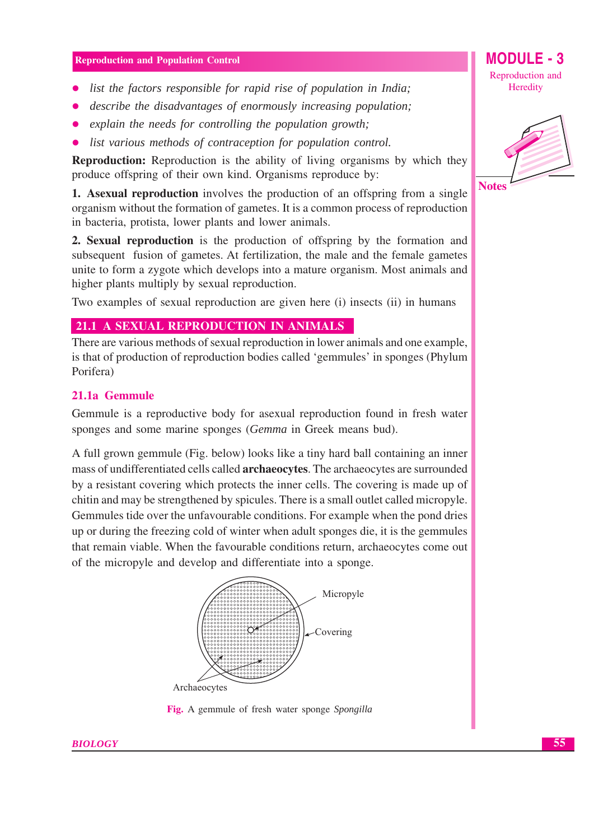- list the factors responsible for rapid rise of population in India;
- describe the disadvantages of enormously increasing population:
- explain the needs for controlling the population growth;
- list various methods of contraception for population control.  $\bullet$

**Reproduction:** Reproduction is the ability of living organisms by which they produce offspring of their own kind. Organisms reproduce by:

1. Asexual reproduction involves the production of an offspring from a single organism without the formation of gametes. It is a common process of reproduction in bacteria, protista, lower plants and lower animals.

2. Sexual reproduction is the production of offspring by the formation and subsequent fusion of gametes. At fertilization, the male and the female gametes unite to form a zygote which develops into a mature organism. Most animals and higher plants multiply by sexual reproduction.

Two examples of sexual reproduction are given here (i) insects (ii) in humans

# 21.1 A SEXUAL REPRODUCTION IN ANIMALS

There are various methods of sexual reproduction in lower animals and one example, is that of production of reproduction bodies called 'gemmules' in sponges (Phylum Porifera)

## 21.1a Gemmule

Gemmule is a reproductive body for asexual reproduction found in fresh water sponges and some marine sponges (Gemma in Greek means bud).

A full grown gemmule (Fig. below) looks like a tiny hard ball containing an inner mass of undifferentiated cells called **archaeocytes**. The archaeocytes are surrounded by a resistant covering which protects the inner cells. The covering is made up of chitin and may be strengthened by spicules. There is a small outlet called micropyle. Gemmules tide over the unfavourable conditions. For example when the pond dries up or during the freezing cold of winter when adult sponges die, it is the gemmules that remain viable. When the favourable conditions return, archaeocytes come out of the micropyle and develop and differentiate into a sponge.



Fig. A gemmule of fresh water sponge Spongilla



MODULE - 3

Reproduction and

Heredity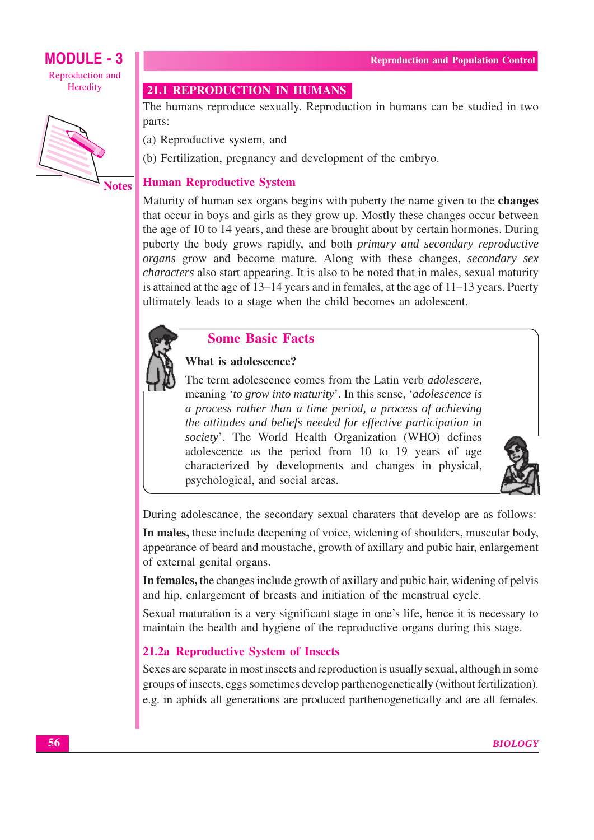

**Notes** 

# **21.1 REPRODUCTION IN HUMANS**

The humans reproduce sexually. Reproduction in humans can be studied in two parts:

(a) Reproductive system, and

(b) Fertilization, pregnancy and development of the embryo.

# **Human Reproductive System**

Maturity of human sex organs begins with puberty the name given to the changes that occur in boys and girls as they grow up. Mostly these changes occur between the age of 10 to 14 years, and these are brought about by certain hormones. During puberty the body grows rapidly, and both primary and secondary reproductive organs grow and become mature. Along with these changes, secondary sex *characters* also start appearing. It is also to be noted that in males, sexual maturity is attained at the age of  $13-14$  years and in females, at the age of  $11-13$  years. Puerty ultimately leads to a stage when the child becomes an adolescent.



# **Some Basic Facts**

# What is adolescence?

The term adolescence comes from the Latin verb *adolescere*, meaning 'to grow into maturity'. In this sense, 'adolescence is a process rather than a time period, a process of achieving the attitudes and beliefs needed for effective participation in society'. The World Health Organization (WHO) defines adolescence as the period from 10 to 19 years of age characterized by developments and changes in physical, psychological, and social areas.



During adolescance, the secondary sexual charaters that develop are as follows:

In males, these include deepening of voice, widening of shoulders, muscular body, appearance of beard and moustache, growth of axillary and pubic hair, enlargement of external genital organs.

In females, the changes include growth of axillary and pubic hair, widening of pelvis and hip, enlargement of breasts and initiation of the menstrual cycle.

Sexual maturation is a very significant stage in one's life, hence it is necessary to maintain the health and hygiene of the reproductive organs during this stage.

# 21.2a Reproductive System of Insects

Sexes are separate in most insects and reproduction is usually sexual, although in some groups of insects, eggs sometimes develop parthenogenetically (without fertilization). e.g. in aphids all generations are produced parthenogenetically and are all females.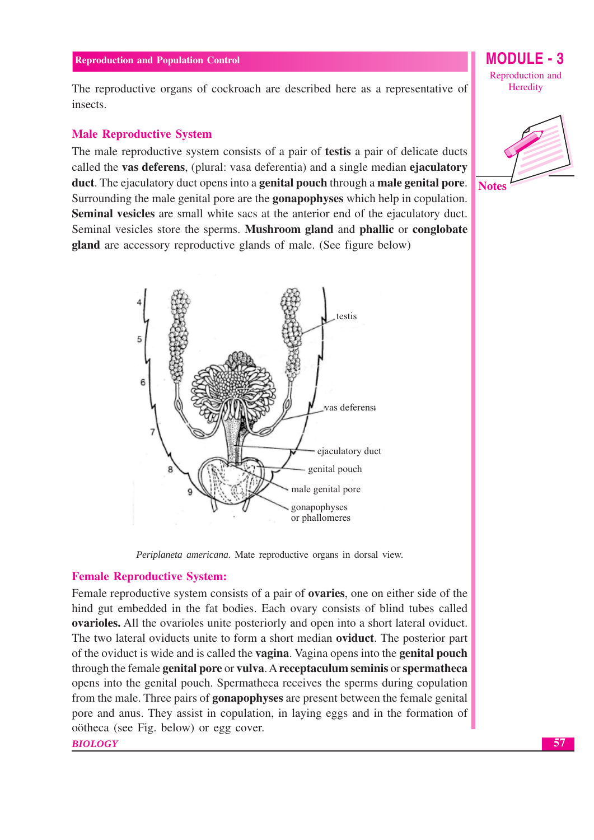The reproductive organs of cockroach are described here as a representative of insects.

## **Male Reproductive System**

The male reproductive system consists of a pair of test is a pair of delicate ducts called the vas deferens, (plural: vasa deferentia) and a single median ejaculatory duct. The ejaculatory duct opens into a **genital pouch** through a **male genital pore**. Surrounding the male genital pore are the **gonapophyses** which help in copulation. **Seminal vesicles** are small white sacs at the anterior end of the ejaculatory duct. Seminal vesicles store the sperms. Mushroom gland and phallic or conglobate gland are accessory reproductive glands of male. (See figure below)



Periplaneta americana. Mate reproductive organs in dorsal view.

#### **Female Reproductive System:**

Female reproductive system consists of a pair of **ovaries**, one on either side of the hind gut embedded in the fat bodies. Each ovary consists of blind tubes called **ovarioles.** All the ovarioles unite posteriorly and open into a short lateral oviduct. The two lateral oviducts unite to form a short median **oviduct**. The posterior part of the oviduct is wide and is called the **vagina**. Vagina opens into the **genital pouch** through the female genital pore or vulva. A receptaculum seminis or spermatheca opens into the genital pouch. Spermatheca receives the sperms during copulation from the male. Three pairs of **gonapophyses** are present between the female genital pore and anus. They assist in copulation, in laying eggs and in the formation of oötheca (see Fig. below) or egg cover.

**BIOLOGY** 

MODULE - 3 Reproduction and Heredity

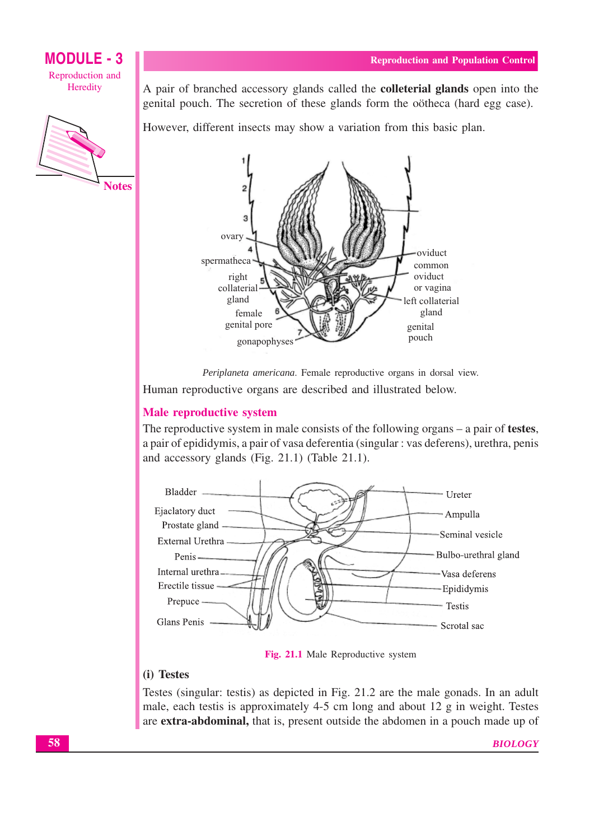

A pair of branched accessory glands called the **colleterial glands** open into the genital pouch. The secretion of these glands form the oötheca (hard egg case).

However, different insects may show a variation from this basic plan.



Periplaneta americana. Female reproductive organs in dorsal view.

Human reproductive organs are described and illustrated below.

# **Male reproductive system**

The reproductive system in male consists of the following organs  $-$  a pair of testes, a pair of epididymis, a pair of vasa deferentia (singular : vas deferens), urethra, penis and accessory glands (Fig. 21.1) (Table 21.1).



Fig. 21.1 Male Reproductive system

# (i) Testes

Testes (singular: testis) as depicted in Fig. 21.2 are the male gonads. In an adult male, each test is approximately 4-5 cm long and about 12 g in weight. Testes are extra-abdominal, that is, present outside the abdomen in a pouch made up of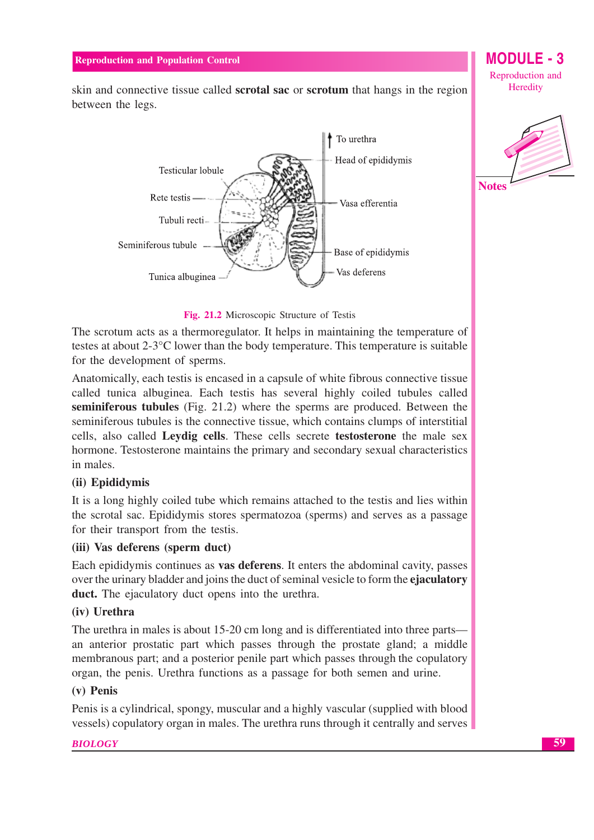skin and connective tissue called **scrotal sac** or **scrotum** that hangs in the region between the legs.





## Fig. 21.2 Microscopic Structure of Testis

The scrotum acts as a thermoregulator. It helps in maintaining the temperature of testes at about  $2-3$ <sup>o</sup>C lower than the body temperature. This temperature is suitable for the development of sperms.

Anatomically, each test is encased in a capsule of white fibrous connective tissue called tunica albuginea. Each testis has several highly coiled tubules called seminiferous tubules (Fig. 21.2) where the sperms are produced. Between the seminiferous tubules is the connective tissue, which contains clumps of interstitial cells, also called Leydig cells. These cells secrete testosterone the male sex hormone. Testosterone maintains the primary and secondary sexual characteristics in males.

# (ii) Epididymis

It is a long highly coiled tube which remains attached to the test is and lies within the scrotal sac. Epididymis stores spermatozoa (sperms) and serves as a passage for their transport from the testis.

#### (iii) Vas deferens (sperm duct)

Each epididymis continues as **vas deferens**. It enters the abdominal cavity, passes over the urinary bladder and joins the duct of seminal vesicle to form the **ejaculatory** duct. The ejaculatory duct opens into the urethra.

## (iv) Urethra

The urethra in males is about 15-20 cm long and is differentiated into three parts an anterior prostatic part which passes through the prostate gland; a middle membranous part; and a posterior penile part which passes through the copulatory organ, the penis. Urethra functions as a passage for both semen and urine.

#### $(v)$  Penis

Penis is a cylindrical, spongy, muscular and a highly vascular (supplied with blood vessels) copulatory organ in males. The urethra runs through it centrally and serves

#### **BIOLOGY**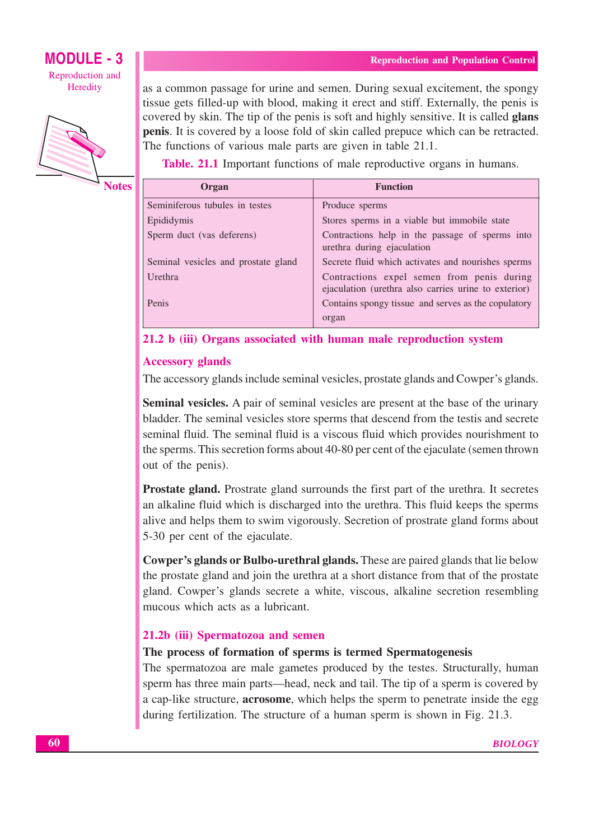**Notes** 

as a common passage for urine and semen. During sexual excitement, the spongy tissue gets filled-up with blood, making it erect and stiff. Externally, the penis is covered by skin. The tip of the penis is soft and highly sensitive. It is called **glans penis**. It is covered by a loose fold of skin called prepuce which can be retracted. The functions of various male parts are given in table 21.1.

**Table. 21.1** Important functions of male reproductive organs in humans.

| Organ                               | <b>Function</b>                                                                                    |
|-------------------------------------|----------------------------------------------------------------------------------------------------|
| Seminiferous tubules in testes      | Produce sperms                                                                                     |
| Epididymis                          | Stores sperms in a viable but immobile state                                                       |
| Sperm duct (vas deferens)           | Contractions help in the passage of sperms into<br>urethra during ejaculation                      |
| Seminal vesicles and prostate gland | Secrete fluid which activates and nourishes sperms                                                 |
| Urethra                             | Contractions expel semen from penis during<br>ejaculation (urethra also carries urine to exterior) |
| Penis                               | Contains spongy tissue and serves as the copulatory                                                |
|                                     | organ                                                                                              |

21.2 b (iii) Organs associated with human male reproduction system

# **Accessory glands**

The accessory glands include seminal vesicles, prostate glands and Cowper's glands.

**Seminal vesicles.** A pair of seminal vesicles are present at the base of the urinary bladder. The seminal vesicles store sperms that descend from the testis and secrete seminal fluid. The seminal fluid is a viscous fluid which provides nourishment to the sperms. This secretion forms about 40-80 per cent of the ejaculate (semen thrown out of the penis).

Prostate gland. Prostrate gland surrounds the first part of the urethra. It secretes an alkaline fluid which is discharged into the urethra. This fluid keeps the sperms alive and helps them to swim vigorously. Secretion of prostrate gland forms about 5-30 per cent of the ejaculate.

**Cowper's glands or Bulbo-urethral glands.** These are paired glands that lie below the prostate gland and join the urethra at a short distance from that of the prostate gland. Cowper's glands secrete a white, viscous, alkaline secretion resembling mucous which acts as a lubricant.

# 21.2b (iii) Spermatozoa and semen

# The process of formation of sperms is termed Spermatogenesis

The spermatozoa are male gametes produced by the testes. Structurally, human sperm has three main parts—head, neck and tail. The tip of a sperm is covered by a cap-like structure, **acrosome**, which helps the sperm to penetrate inside the egg during fertilization. The structure of a human sperm is shown in Fig. 21.3.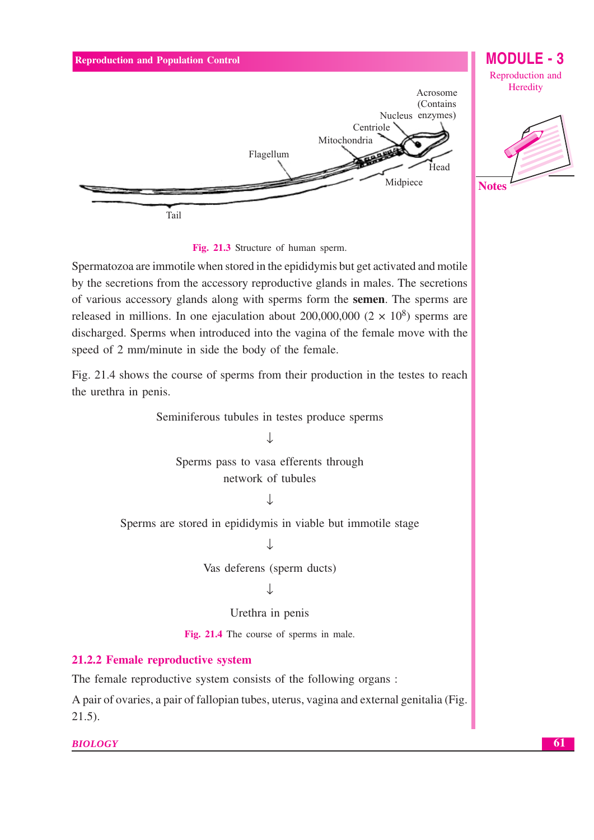



Spermatozoa are immotile when stored in the epididymis but get activated and motile by the secretions from the accessory reproductive glands in males. The secretions of various accessory glands along with sperms form the semen. The sperms are released in millions. In one ejaculation about 200,000,000 ( $2 \times 10^8$ ) sperms are discharged. Sperms when introduced into the vagina of the female move with the speed of 2 mm/minute in side the body of the female.

Fig. 21.4 shows the course of sperms from their production in the testes to reach the urethra in penis.

Seminiferous tubules in testes produce sperms

 $\mathbf{1}$ Sperms pass to vasa efferents through network of tubules

J

Sperms are stored in epididymis in viable but immotile stage  $\downarrow$ 

Vas deferens (sperm ducts)

T

Urethra in penis

Fig. 21.4 The course of sperms in male.

# 21.2.2 Female reproductive system

The female reproductive system consists of the following organs:

A pair of ovaries, a pair of fallopian tubes, uterus, vagina and external genitalia (Fig.  $21.5$ ).

**BIOLOGY**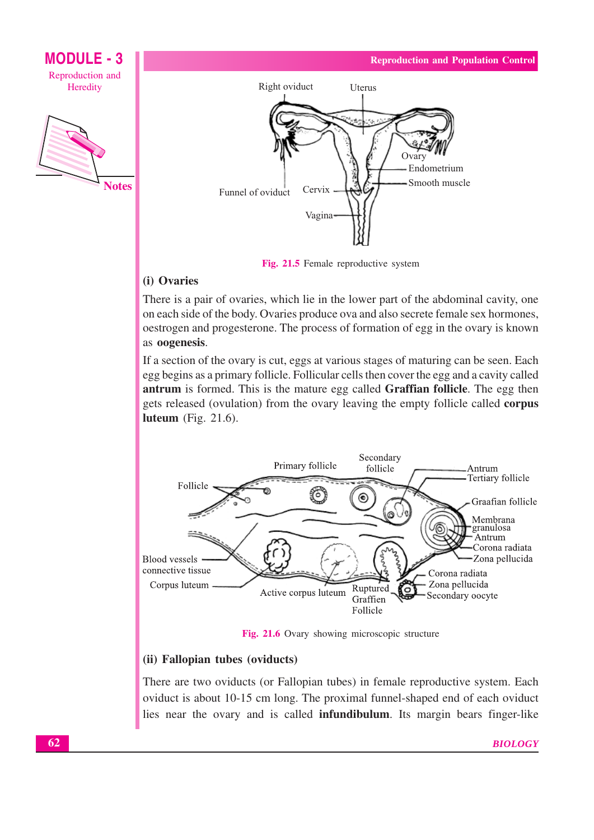



Fig. 21.5 Female reproductive system

# (i) Ovaries

There is a pair of ovaries, which lie in the lower part of the abdominal cavity, one on each side of the body. Ovaries produce ova and also secrete female sex hormones, oestrogen and progesterone. The process of formation of egg in the ovary is known as oogenesis.

If a section of the ovary is cut, eggs at various stages of maturing can be seen. Each egg begins as a primary follicle. Follicular cells then cover the egg and a cavity called antrum is formed. This is the mature egg called Graffian follicle. The egg then gets released (ovulation) from the ovary leaving the empty follicle called corpus luteum (Fig.  $21.6$ ).



Fig. 21.6 Ovary showing microscopic structure

# (ii) Fallopian tubes (oviducts)

There are two oviducts (or Fallopian tubes) in female reproductive system. Each oviduct is about 10-15 cm long. The proximal funnel-shaped end of each oviduct lies near the ovary and is called **infundibulum**. Its margin bears finger-like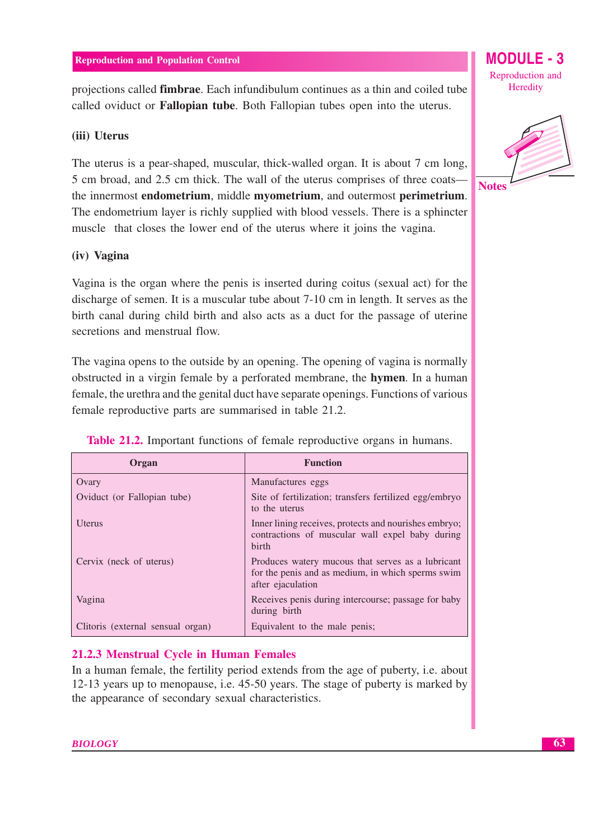projections called **fimbrae**. Each infundibulum continues as a thin and coiled tube called oviduct or **Fallopian tube**. Both Fallopian tubes open into the uterus.

# (iii) Uterus

The uterus is a pear-shaped, muscular, thick-walled organ. It is about 7 cm long, 5 cm broad, and 2.5 cm thick. The wall of the uterus comprises of three coatsthe innermost **endometrium**, middle **myometrium**, and outermost **perimetrium**. The endometrium layer is richly supplied with blood vessels. There is a sphincter muscle that closes the lower end of the uterus where it joins the vagina.

# (iv) Vagina

Vagina is the organ where the penis is inserted during coitus (sexual act) for the discharge of semen. It is a muscular tube about 7-10 cm in length. It serves as the birth canal during child birth and also acts as a duct for the passage of uterine secretions and menstrual flow.

The vagina opens to the outside by an opening. The opening of vagina is normally obstructed in a virgin female by a perforated membrane, the **hymen**. In a human female, the urethra and the genital duct have separate openings. Functions of various female reproductive parts are summarised in table 21.2.

| Organ                             | <b>Function</b>                                                                                                             |
|-----------------------------------|-----------------------------------------------------------------------------------------------------------------------------|
| Ovary                             | Manufactures eggs                                                                                                           |
| Oviduct (or Fallopian tube)       | Site of fertilization; transfers fertilized egg/embryo<br>to the uterus                                                     |
| <b>U</b> terus                    | Inner lining receives, protects and nourishes embryo;<br>contractions of muscular wall expel baby during<br>hirth           |
| Cervix (neck of uterus)           | Produces watery mucous that serves as a lubricant<br>for the penis and as medium, in which sperms swim<br>after ejaculation |
| Vagina                            | Receives penis during intercourse; passage for baby<br>during birth                                                         |
| Clitoris (external sensual organ) | Equivalent to the male penis;                                                                                               |

**Table 21.2.** Important functions of female reproductive organs in humans.

# 21.2.3 Menstrual Cycle in Human Females

In a human female, the fertility period extends from the age of puberty, i.e. about 12-13 years up to menopause, i.e. 45-50 years. The stage of puberty is marked by the appearance of secondary sexual characteristics.

Reproduction and Heredity

MODULE -  $3$ 

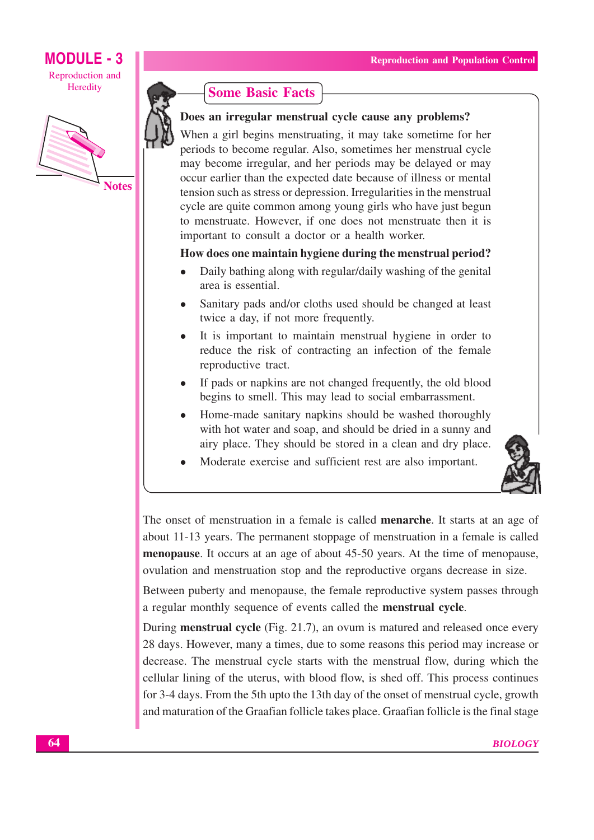# **MODULE - 3** Reproduction and

Heredity



**Notes** 



# Does an irregular menstrual cycle cause any problems?

When a girl begins menstruating, it may take sometime for her periods to become regular. Also, sometimes her menstrual cycle may become irregular, and her periods may be delayed or may occur earlier than the expected date because of illness or mental tension such as stress or depression. Irregularities in the menstrual cycle are quite common among young girls who have just begun to menstruate. However, if one does not menstruate then it is important to consult a doctor or a health worker.

## How does one maintain hygiene during the menstrual period?

- Daily bathing along with regular/daily washing of the genital area is essential.
- Sanitary pads and/or cloths used should be changed at least twice a day, if not more frequently.
- It is important to maintain menstrual hygiene in order to reduce the risk of contracting an infection of the female reproductive tract.
- If pads or napkins are not changed frequently, the old blood begins to smell. This may lead to social embarrassment.
- Home-made sanitary napkins should be washed thoroughly with hot water and soap, and should be dried in a sunny and airy place. They should be stored in a clean and dry place.
- Moderate exercise and sufficient rest are also important.



The onset of menstruation in a female is called **menarche**. It starts at an age of about 11-13 years. The permanent stoppage of menstruation in a female is called menopause. It occurs at an age of about 45-50 years. At the time of menopause, ovulation and menstruation stop and the reproductive organs decrease in size.

Between puberty and menopause, the female reproductive system passes through a regular monthly sequence of events called the **menstrual cycle**.

During **menstrual cycle** (Fig. 21.7), an ovum is matured and released once every 28 days. However, many a times, due to some reasons this period may increase or decrease. The menstrual cycle starts with the menstrual flow, during which the cellular lining of the uterus, with blood flow, is shed off. This process continues for 3-4 days. From the 5th upto the 13th day of the onset of menstrual cycle, growth and maturation of the Graafian follicle takes place. Graafian follicle is the final stage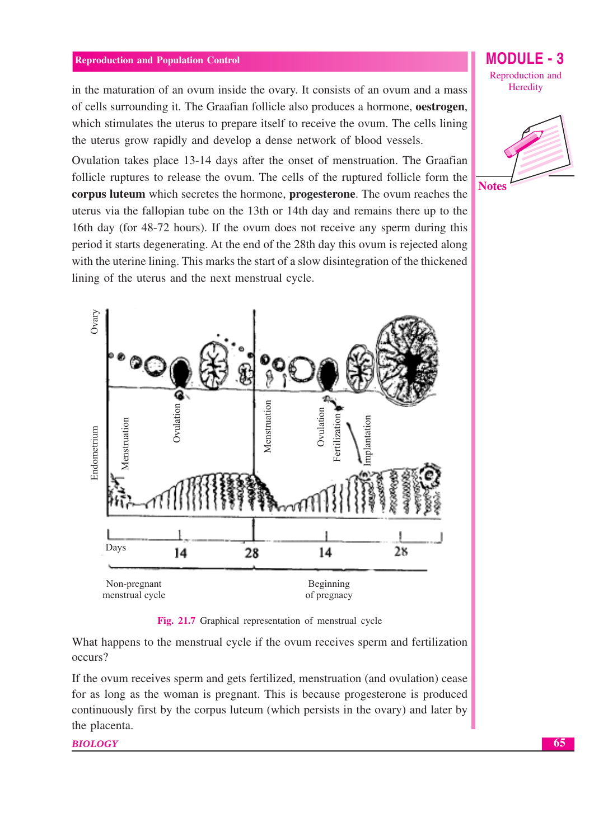in the maturation of an ovum inside the ovary. It consists of an ovum and a mass of cells surrounding it. The Graafian follicle also produces a hormone, oestrogen, which stimulates the uterus to prepare itself to receive the ovum. The cells lining the uterus grow rapidly and develop a dense network of blood vessels.

Ovulation takes place 13-14 days after the onset of menstruation. The Graafian follicle ruptures to release the ovum. The cells of the ruptured follicle form the corpus luteum which secretes the hormone, progesterone. The ovum reaches the uterus via the fallopian tube on the 13th or 14th day and remains there up to the 16th day (for 48-72 hours). If the ovum does not receive any sperm during this period it starts degenerating. At the end of the 28th day this ovum is rejected along with the uterine lining. This marks the start of a slow disintegration of the thickened lining of the uterus and the next menstrual cycle.



Fig. 21.7 Graphical representation of menstrual cycle

What happens to the menstrual cycle if the ovum receives sperm and fertilization occurs?

If the ovum receives sperm and gets fertilized, menstruation (and ovulation) cease for as long as the woman is pregnant. This is because progesterone is produced continuously first by the corpus luteum (which persists in the ovary) and later by the placenta.

**BIOLOGY** 

MODIJI F - 3 Reproduction and Heredity

**Notes**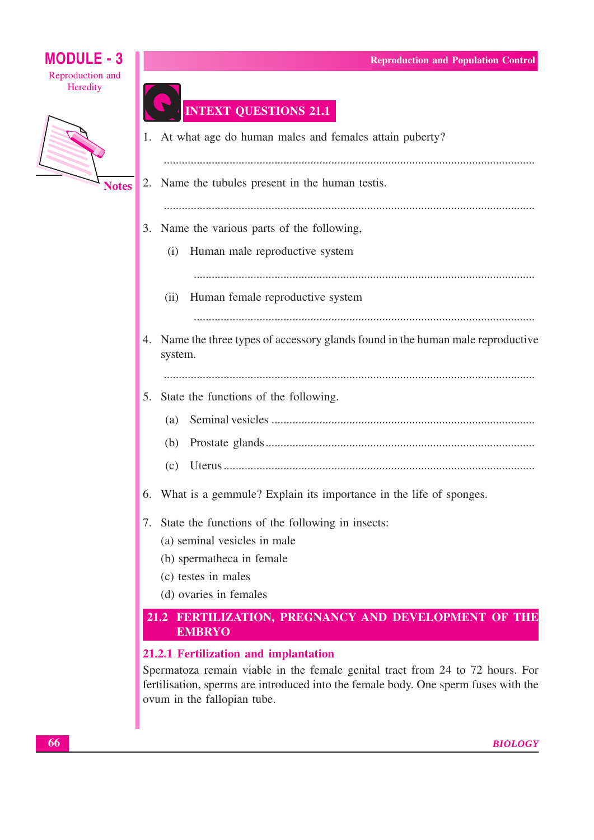# Reproduction and Heredity

**Notes** 

**MODULE - 3** 

# **INTEXT QUESTIONS 21.1**

1. At what age do human males and females attain puberty? 2. Name the tubules present in the human testis. 3. Name the various parts of the following, (i) Human male reproductive system (ii) Human female reproductive system 4. Name the three types of accessory glands found in the human male reproductive system. 5. State the functions of the following.  $(a)$ 6. What is a gemmule? Explain its importance in the life of sponges. 7. State the functions of the following in insects: (a) seminal vesicles in male

- (b) spermatheca in female
- (c) testes in males
- (d) ovaries in females

# 21.2 FERTILIZATION, PREGNANCY AND DEVELOPMENT OF THE **EMBRYO**

# 21.2.1 Fertilization and implantation

Spermatoza remain viable in the female genital tract from 24 to 72 hours. For fertilisation, sperms are introduced into the female body. One sperm fuses with the ovum in the fallopian tube.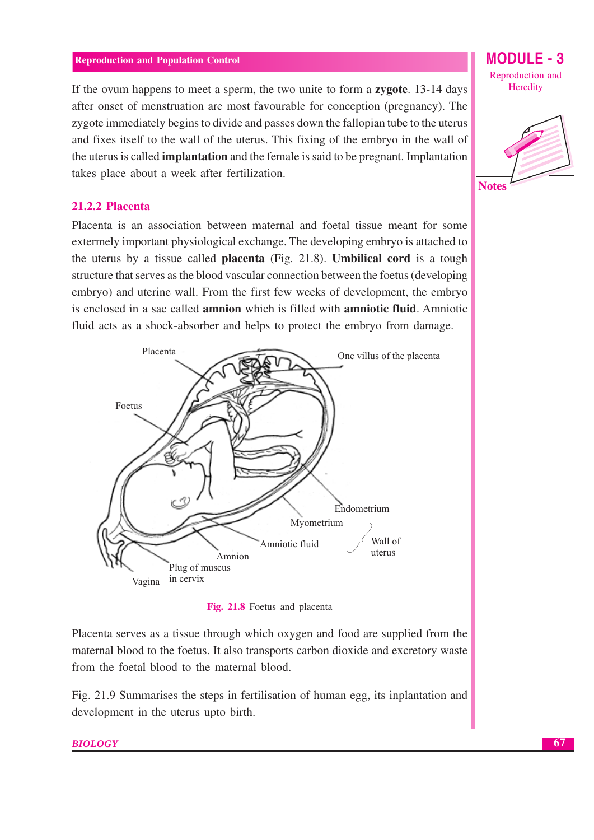If the ovum happens to meet a sperm, the two unite to form a zygote. 13-14 days after onset of menstruation are most favourable for conception (pregnancy). The zygote immediately begins to divide and passes down the fallopian tube to the uterus and fixes itself to the wall of the uterus. This fixing of the embryo in the wall of the uterus is called **implantation** and the female is said to be pregnant. Implantation takes place about a week after fertilization.



MODULE - 3



#### 21.2.2 Placenta

Placenta is an association between maternal and foetal tissue meant for some extermely important physiological exchange. The developing embryo is attached to the uterus by a tissue called **placenta** (Fig. 21.8). **Umbilical cord** is a tough structure that serves as the blood vascular connection between the foetus (developing embryo) and uterine wall. From the first few weeks of development, the embryo is enclosed in a sac called **amnion** which is filled with **amniotic fluid**. Amniotic fluid acts as a shock-absorber and helps to protect the embryo from damage.



Fig. 21.8 Foetus and placenta

Placenta serves as a tissue through which oxygen and food are supplied from the maternal blood to the foetus. It also transports carbon dioxide and excretory waste from the foetal blood to the maternal blood.

Fig. 21.9 Summarises the steps in fertilisation of human egg, its inplantation and development in the uterus upto birth.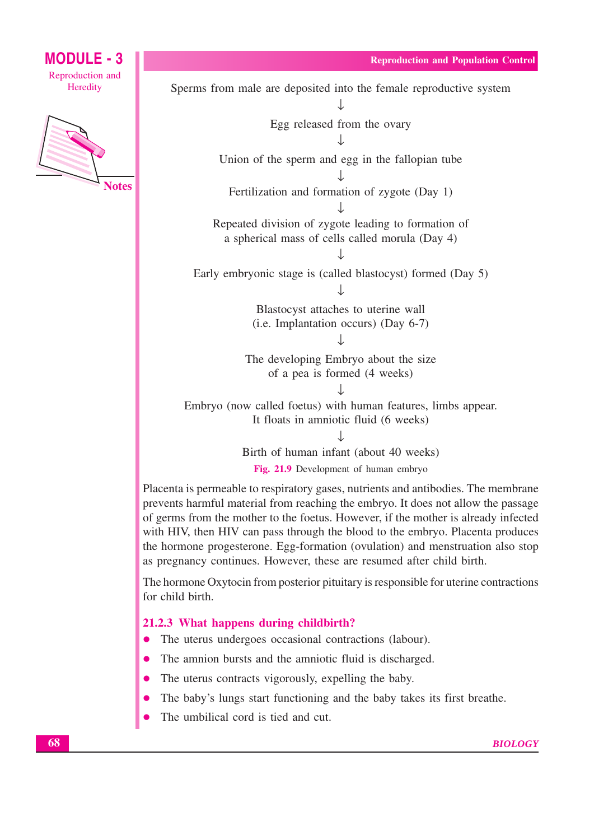Heredity

**MODULE - 3** 

Reproduction and

**Notes** 

Egg released from the ovary Union of the sperm and egg in the fallopian tube Fertilization and formation of zygote (Day 1) Repeated division of zygote leading to formation of a spherical mass of cells called morula (Day 4) Early embryonic stage is (called blastocyst) formed (Day 5) J Blastocyst attaches to uterine wall  $(i.e. Implantation occurs)$  (Day 6-7) The developing Embryo about the size of a pea is formed (4 weeks) Embryo (now called foetus) with human features, limbs appear. It floats in amniotic fluid (6 weeks) Birth of human infant (about 40 weeks) Fig. 21.9 Development of human embryo

Sperms from male are deposited into the female reproductive system

Placenta is permeable to respiratory gases, nutrients and antibodies. The membrane prevents harmful material from reaching the embryo. It does not allow the passage of germs from the mother to the foetus. However, if the mother is already infected with HIV, then HIV can pass through the blood to the embryo. Placenta produces the hormone progesterone. Egg-formation (ovulation) and menstruation also stop as pregnancy continues. However, these are resumed after child birth.

The hormone Oxytocin from posterior pituitary is responsible for uterine contractions for child birth.

#### 21.2.3 What happens during childbirth?

- The uterus undergoes occasional contractions (labour).  $\bullet$
- The amnion bursts and the amniotic fluid is discharged.
- The uterus contracts vigorously, expelling the baby.
- The baby's lungs start functioning and the baby takes its first breathe.
- The umbilical cord is tied and cut.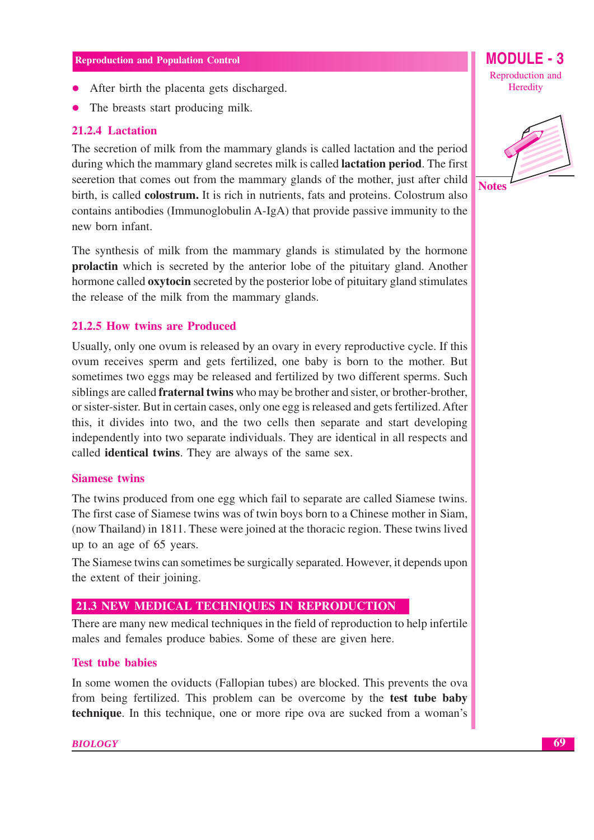- After birth the placenta gets discharged.
- $\bullet$ The breasts start producing milk.

## 21.2.4 Lactation

The secretion of milk from the mammary glands is called lactation and the period during which the mammary gland secretes milk is called **lactation period**. The first seeretion that comes out from the mammary glands of the mother, just after child birth, is called **colostrum**. It is rich in nutrients, fats and proteins. Colostrum also contains antibodies (Immunoglobulin A-IgA) that provide passive immunity to the new born infant

The synthesis of milk from the mammary glands is stimulated by the hormone prolactin which is secreted by the anterior lobe of the pituitary gland. Another hormone called **oxytocin** secreted by the posterior lobe of pituitary gland stimulates the release of the milk from the mammary glands.

## 21.2.5 How twins are Produced

Usually, only one ovum is released by an ovary in every reproductive cycle. If this ovum receives sperm and gets fertilized, one baby is born to the mother. But sometimes two eggs may be released and fertilized by two different sperms. Such siblings are called **fraternal twins** who may be brother and sister, or brother-brother, or sister-sister. But in certain cases, only one egg is released and gets fertilized. After this, it divides into two, and the two cells then separate and start developing independently into two separate individuals. They are identical in all respects and called **identical twins**. They are always of the same sex.

#### **Siamese twins**

The twins produced from one egg which fail to separate are called Siamese twins. The first case of Siamese twins was of twin boys born to a Chinese mother in Siam, (now Thailand) in 1811. These were joined at the thoracic region. These twins lived up to an age of 65 years.

The Siamese twins can sometimes be surgically separated. However, it depends upon the extent of their joining.

# 21.3 NEW MEDICAL TECHNIQUES IN REPRODUCTION

There are many new medical techniques in the field of reproduction to help infertile males and females produce babies. Some of these are given here.

#### **Test tube babies**

In some women the oviducts (Fallopian tubes) are blocked. This prevents the ova from being fertilized. This problem can be overcome by the **test tube baby** technique. In this technique, one or more ripe ova are sucked from a woman's Reproduction and Heredity

**MODULE - 3** 

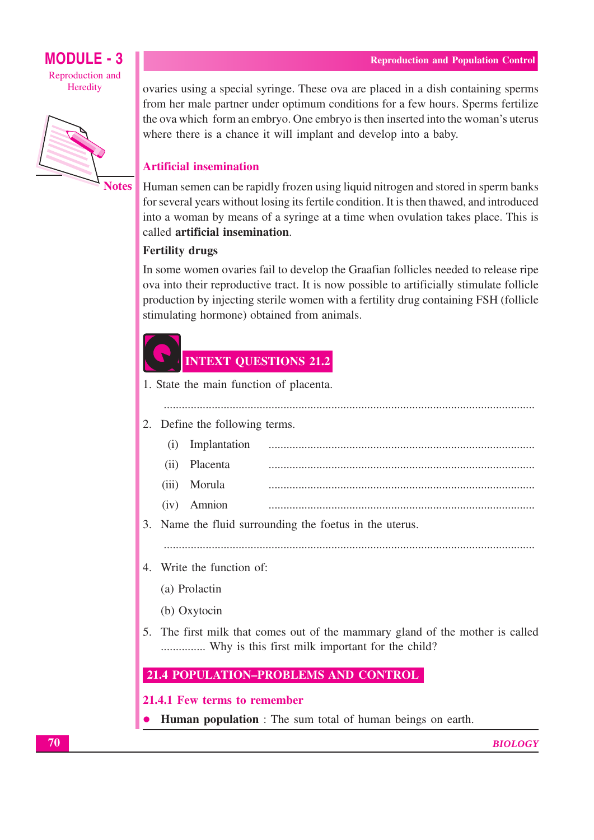

**Notes** 

ovaries using a special syringe. These ova are placed in a dish containing sperms from her male partner under optimum conditions for a few hours. Sperms fertilize the ova which form an embryo. One embryo is then inserted into the woman's uterus where there is a chance it will implant and develop into a baby.

# **Artificial insemination**

Human semen can be rapidly frozen using liquid nitrogen and stored in sperm banks for several years without losing its fertile condition. It is then thawed, and introduced into a woman by means of a syringe at a time when ovulation takes place. This is called artificial insemination.

# **Fertility drugs**

In some women ovaries fail to develop the Graafian follicles needed to release ripe ova into their reproductive tract. It is now possible to artificially stimulate follicle production by injecting sterile women with a fertility drug containing FSH (follicle stimulating hormone) obtained from animals.

# **INTEXT QUESTIONS 21.2**

1. State the main function of placenta.

#### 2. Define the following terms.

- $(i)$ Implantation Placenta  $(ii)$  $(iii)$ Morula
- (iv) Amnion

3. Name the fluid surrounding the foetus in the uterus.

# 4. Write the function of:

- (a) Prolactin
- (b) Oxytocin
- 5. The first milk that comes out of the mammary gland of the mother is called ............... Why is this first milk important for the child?

# 21.4 POPULATION-PROBLEMS AND CONTROL

#### 21.4.1 Few terms to remember

**Human population**: The sum total of human beings on earth.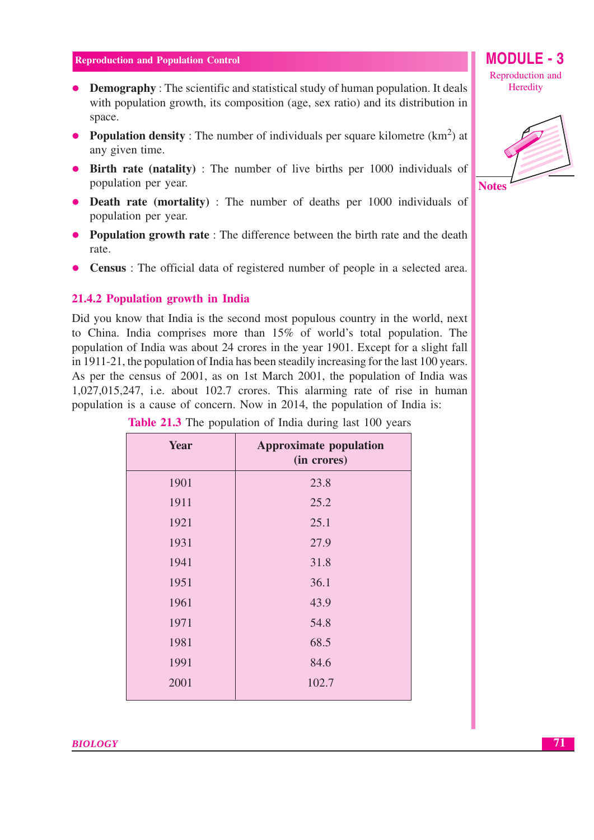- Demography : The scientific and statistical study of human population. It deals with population growth, its composition (age, sex ratio) and its distribution in space.
- Population density: The number of individuals per square kilometre  $(km<sup>2</sup>)$  at any given time.
- Birth rate (natality): The number of live births per 1000 individuals of population per year.
- Death rate (mortality): The number of deaths per 1000 individuals of population per year.
- Population growth rate: The difference between the birth rate and the death rate.
- **Census**: The official data of registered number of people in a selected area.  $\bullet$

#### 21.4.2 Population growth in India

Did you know that India is the second most populous country in the world, next to China. India comprises more than 15% of world's total population. The population of India was about 24 crores in the year 1901. Except for a slight fall in 1911-21, the population of India has been steadily increasing for the last 100 years. As per the census of 2001, as on 1st March 2001, the population of India was  $1,027,015,247$ , i.e. about 102.7 crores. This alarming rate of rise in human population is a cause of concern. Now in 2014, the population of India is:

| Year | <b>Approximate population</b><br>(in crores) |
|------|----------------------------------------------|
| 1901 | 23.8                                         |
| 1911 | 25.2                                         |
| 1921 | 25.1                                         |
| 1931 | 27.9                                         |
| 1941 | 31.8                                         |
| 1951 | 36.1                                         |
| 1961 | 43.9                                         |
| 1971 | 54.8                                         |
| 1981 | 68.5                                         |
| 1991 | 84.6                                         |
| 2001 | 102.7                                        |

| <b>Table 21.3</b> The population of India during last 100 years |  |  |  |  |
|-----------------------------------------------------------------|--|--|--|--|
|                                                                 |  |  |  |  |



# **MODULE - 3** Reproduction and Heredity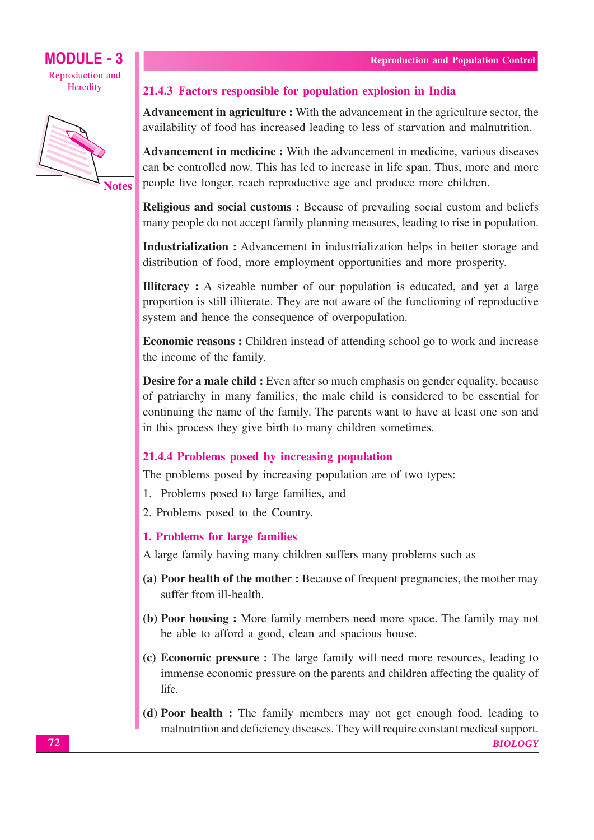



**Notes** 

## 21.4.3 Factors responsible for population explosion in India

**Advancement in agriculture :** With the advancement in the agriculture sector, the availability of food has increased leading to less of starvation and malnutrition.

**Advancement in medicine :** With the advancement in medicine, various diseases can be controlled now. This has led to increase in life span. Thus, more and more people live longer, reach reproductive age and produce more children.

Religious and social customs: Because of prevailing social custom and beliefs many people do not accept family planning measures, leading to rise in population.

Industrialization : Advancement in industrialization helps in better storage and distribution of food, more employment opportunities and more prosperity.

**Illiteracy**: A sizeable number of our population is educated, and yet a large proportion is still illiterate. They are not aware of the functioning of reproductive system and hence the consequence of overpopulation.

**Economic reasons:** Children instead of attending school go to work and increase the income of the family.

**Desire for a male child:** Even after so much emphasis on gender equality, because of patriarchy in many families, the male child is considered to be essential for continuing the name of the family. The parents want to have at least one son and in this process they give birth to many children sometimes.

# 21.4.4 Problems posed by increasing population

The problems posed by increasing population are of two types:

- 1. Problems posed to large families, and
- 2. Problems posed to the Country.

#### 1. Problems for large families

A large family having many children suffers many problems such as

- (a) Poor health of the mother: Because of frequent pregnancies, the mother may suffer from ill-health.
- (b) Poor housing: More family members need more space. The family may not be able to afford a good, clean and spacious house.
- (c) Economic pressure: The large family will need more resources, leading to immense economic pressure on the parents and children affecting the quality of life
- (d) Poor health : The family members may not get enough food, leading to malnutrition and deficiency diseases. They will require constant medical support.

**BIOLOGY**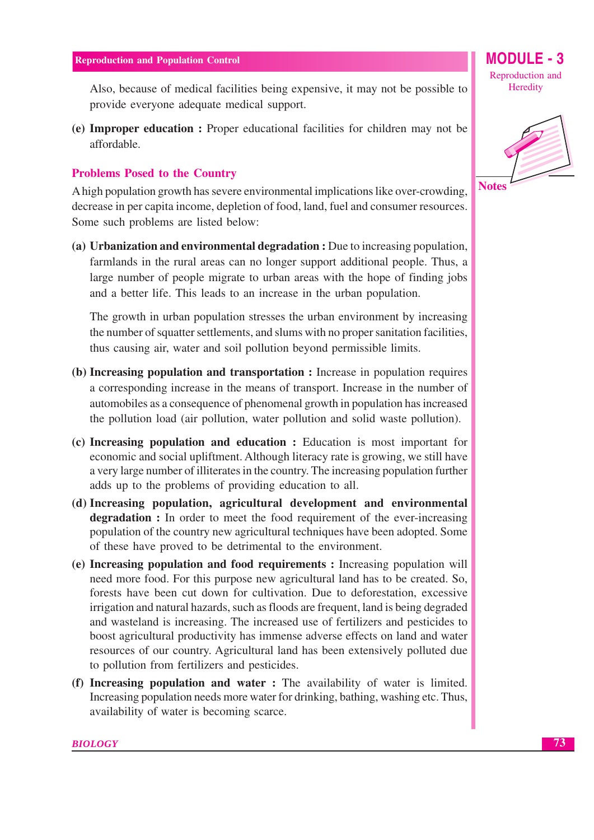Also, because of medical facilities being expensive, it may not be possible to provide everyone adequate medical support.

(e) Improper education: Proper educational facilities for children may not be affordable.

# **Problems Posed to the Country**

A high population growth has severe environmental implications like over-crowding, decrease in per capita income, depletion of food, land, fuel and consumer resources. Some such problems are listed below:

(a) Urbanization and environmental degradation : Due to increasing population, farmlands in the rural areas can no longer support additional people. Thus, a large number of people migrate to urban areas with the hope of finding jobs and a better life. This leads to an increase in the urban population.

The growth in urban population stresses the urban environment by increasing the number of squatter settlements, and slums with no proper sanitation facilities, thus causing air, water and soil pollution beyond permissible limits.

- (b) Increasing population and transportation : Increase in population requires a corresponding increase in the means of transport. Increase in the number of automobiles as a consequence of phenomenal growth in population has increased the pollution load (air pollution, water pollution and solid waste pollution).
- (c) Increasing population and education : Education is most important for economic and social upliftment. Although literacy rate is growing, we still have a very large number of illiterates in the country. The increasing population further adds up to the problems of providing education to all.
- (d) Increasing population, agricultural development and environmental **degradation**: In order to meet the food requirement of the ever-increasing population of the country new agricultural techniques have been adopted. Some of these have proved to be detrimental to the environment.
- (e) Increasing population and food requirements : Increasing population will need more food. For this purpose new agricultural land has to be created. So, forests have been cut down for cultivation. Due to deforestation, excessive irrigation and natural hazards, such as floods are frequent, land is being degraded and wasteland is increasing. The increased use of fertilizers and pesticides to boost agricultural productivity has immense adverse effects on land and water resources of our country. Agricultural land has been extensively polluted due to pollution from fertilizers and pesticides.
- (f) Increasing population and water : The availability of water is limited. Increasing population needs more water for drinking, bathing, washing etc. Thus, availability of water is becoming scarce.

Reproduction and Heredity

**MODULE - 3** 



**BIOLOGY**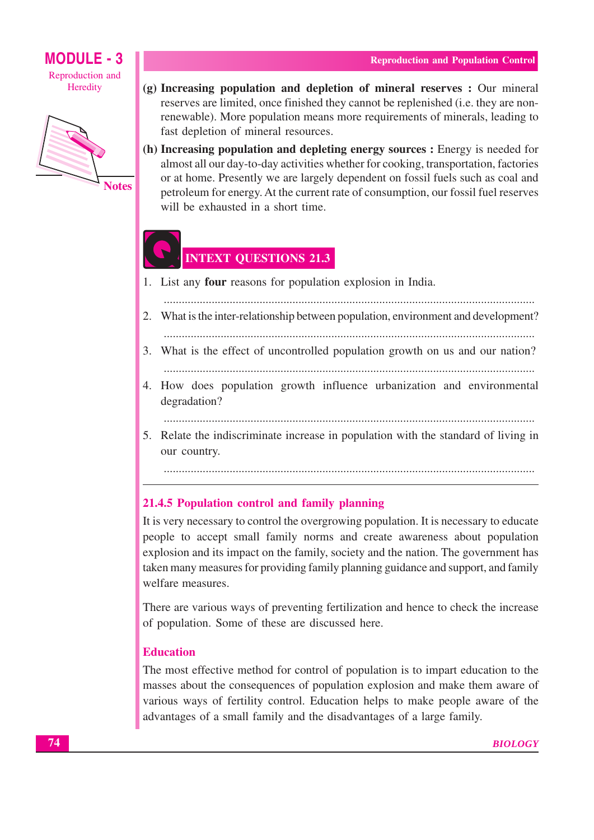

- (g) Increasing population and depletion of mineral reserves : Our mineral reserves are limited, once finished they cannot be replenished (i.e. they are nonrenewable). More population means more requirements of minerals, leading to fast depletion of mineral resources.
- (h) Increasing population and depleting energy sources : Energy is needed for almost all our day-to-day activities whether for cooking, transportation, factories or at home. Presently we are largely dependent on fossil fuels such as coal and petroleum for energy. At the current rate of consumption, our fossil fuel reserves will be exhausted in a short time.

# **INTEXT QUESTIONS 21.3**

- 1. List any **four** reasons for population explosion in India.
	-
- 2. What is the inter-relationship between population, environment and development?
- 3. What is the effect of uncontrolled population growth on us and our nation?
- 4. How does population growth influence urbanization and environmental degradation?
	-
- 5. Relate the indiscriminate increase in population with the standard of living in our country.

# 21.4.5 Population control and family planning

It is very necessary to control the overgrowing population. It is necessary to educate people to accept small family norms and create awareness about population explosion and its impact on the family, society and the nation. The government has taken many measures for providing family planning guidance and support, and family welfare measures.

There are various ways of preventing fertilization and hence to check the increase of population. Some of these are discussed here.

# **Education**

The most effective method for control of population is to impart education to the masses about the consequences of population explosion and make them aware of various ways of fertility control. Education helps to make people aware of the advantages of a small family and the disadvantages of a large family.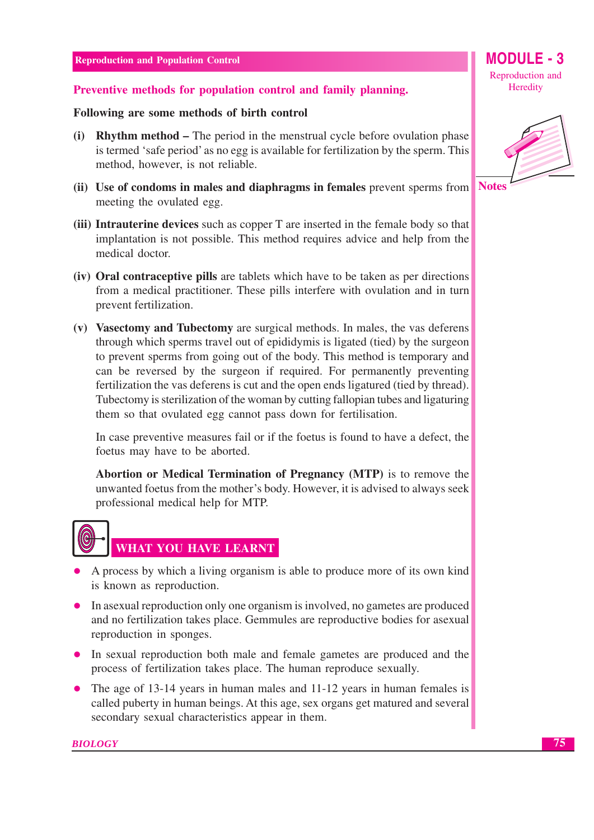# Preventive methods for population control and family planning.

# Following are some methods of birth control

- (i) Rhythm method The period in the menstrual cycle before ovulation phase is termed 'safe period' as no egg is available for fertilization by the sperm. This method, however, is not reliable.
- **Notes** (ii) Use of condoms in males and diaphragms in females prevent sperms from meeting the ovulated egg.
- (iii) Intrauterine devices such as copper T are inserted in the female body so that implantation is not possible. This method requires advice and help from the medical doctor.
- (iv) Oral contraceptive pills are tablets which have to be taken as per directions from a medical practitioner. These pills interfere with ovulation and in turn prevent fertilization.
- (v) Vasectomy and Tubectomy are surgical methods. In males, the vas deferens through which sperms travel out of epididymis is ligated (tied) by the surgeon to prevent sperms from going out of the body. This method is temporary and can be reversed by the surgeon if required. For permanently preventing fertilization the vas deferens is cut and the open ends ligatured (tied by thread). Tubectomy is sterilization of the woman by cutting fallopian tubes and ligaturing them so that ovulated egg cannot pass down for fertilisation.

In case preventive measures fail or if the foetus is found to have a defect, the foetus may have to be aborted.

Abortion or Medical Termination of Pregnancy (MTP) is to remove the unwanted foetus from the mother's body. However, it is advised to always seek professional medical help for MTP.



- A process by which a living organism is able to produce more of its own kind is known as reproduction.
- In assexual reproduction only one organism is involved, no gametes are produced and no fertilization takes place. Gemmules are reproductive bodies for asexual reproduction in sponges.
- In sexual reproduction both male and female gametes are produced and the process of fertilization takes place. The human reproduce sexually.
- The age of 13-14 years in human males and  $11-12$  years in human females is called puberty in human beings. At this age, sex organs get matured and several secondary sexual characteristics appear in them.

Reproduction and Heredity

**MODULE - 3** 



75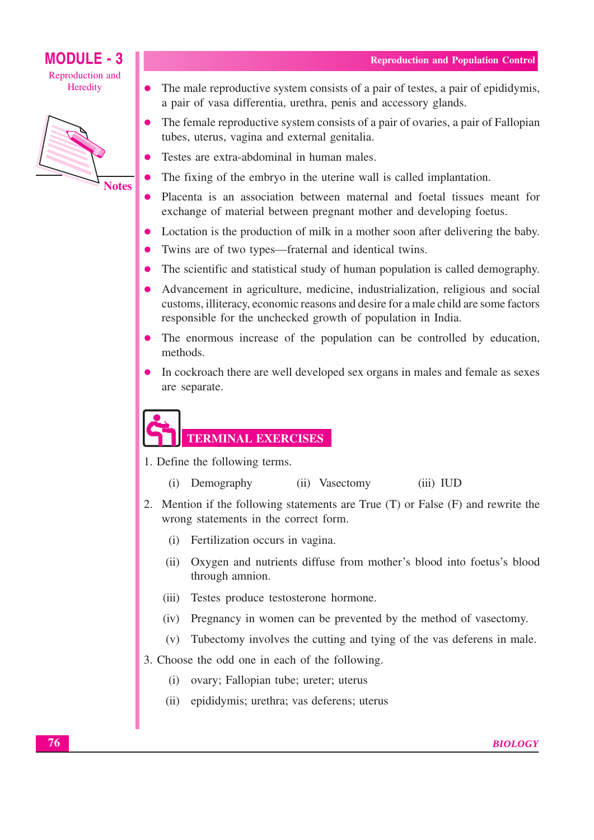# **MODULE - 3** Reproduction and

Heredity

 $\bullet$ 



- The male reproductive system consists of a pair of testes, a pair of epididymis, a pair of vasa differentia, urethra, penis and accessory glands.
- The female reproductive system consists of a pair of ovaries, a pair of Fallopian tubes, uterus, vagina and external genitalia.
- Testes are extra-abdominal in human males.
- The fixing of the embryo in the uterine wall is called implantation.
- Placenta is an association between maternal and foetal tissues meant for O exchange of material between pregnant mother and developing foetus.
- Loctation is the production of milk in a mother soon after delivering the baby.
- Twins are of two types—fraternal and identical twins.
- The scientific and statistical study of human population is called demography.
- Advancement in agriculture, medicine, industrialization, religious and social customs, illiteracy, economic reasons and desire for a male child are some factors responsible for the unchecked growth of population in India.
- The enormous increase of the population can be controlled by education, methods.
- In cockroach there are well developed sex organs in males and female as sexes are separate.

**TERMINAL EXERCISES** 

- 1. Define the following terms.
	- (i) Demography (ii) Vasectomy  $(iii) IUD$
- 2. Mention if the following statements are True (T) or False (F) and rewrite the wrong statements in the correct form.
	- (i) Fertilization occurs in vagina.
	- (ii) Oxygen and nutrients diffuse from mother's blood into foetus's blood through amnion.
	- $(iii)$ Testes produce testosterone hormone.
	- (iv) Pregnancy in women can be prevented by the method of vasectomy.
	- (v) Tubectomy involves the cutting and tying of the vas deferens in male.
- 3. Choose the odd one in each of the following.
	- (i) ovary; Fallopian tube; ureter; uterus
	- (ii) epididymis; urethra; vas deferens; uterus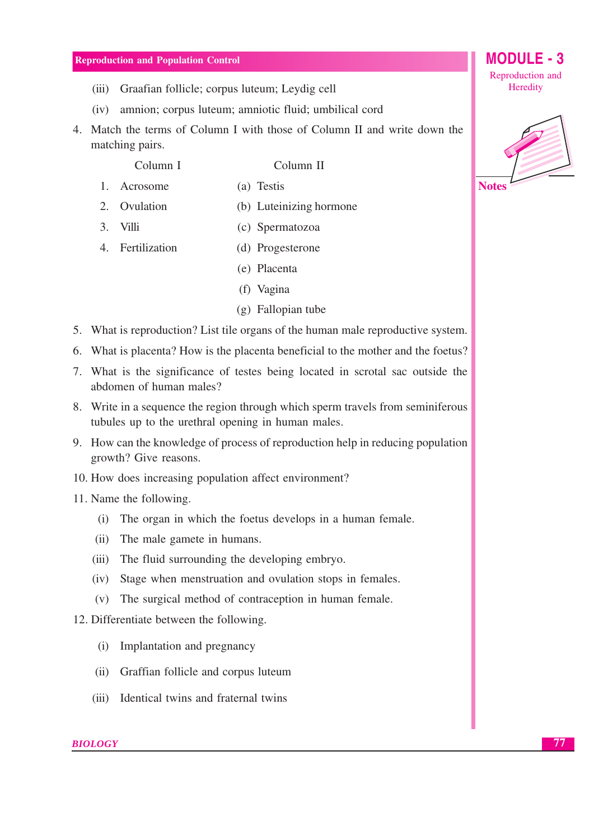- (iii) Graafian follicle; corpus luteum; Leydig cell
- amnion: corpus luteum: amniotic fluid: umbilical cord  $(iv)$
- 4. Match the terms of Column I with those of Column II and write down the matching pairs.

Column I

Column II

- 1. Acrosome (a) Testis
- 2. Ovulation (b) Luteinizing hormone
- $3$  Villi (c) Spermatozoa
- 4. Fertilization (d) Progesterone
	- (e) Placenta
	- (f) Vagina
	- $(g)$  Fallopian tube
- 5. What is reproduction? List tile organs of the human male reproductive system.
- 6. What is placenta? How is the placenta beneficial to the mother and the foetus?
- 7. What is the significance of testes being located in scrotal sac outside the abdomen of human males?
- 8. Write in a sequence the region through which sperm travels from seminiferous tubules up to the urethral opening in human males.
- 9. How can the knowledge of process of reproduction help in reducing population growth? Give reasons.
- 10. How does increasing population affect environment?
- 11. Name the following.
	- (i) The organ in which the foetus develops in a human female.
	- (ii) The male gamete in humans.
	- (iii) The fluid surrounding the developing embryo.
	- (iv) Stage when menstruation and ovulation stops in females.
	- (v) The surgical method of contraception in human female.
- 12. Differentiate between the following.
	- (i) Implantation and pregnancy
	- (ii) Graffian follicle and corpus luteum
	- (iii) Identical twins and fraternal twins



**Notes** 

**MODULE - 3** 

Reproduction and Heredity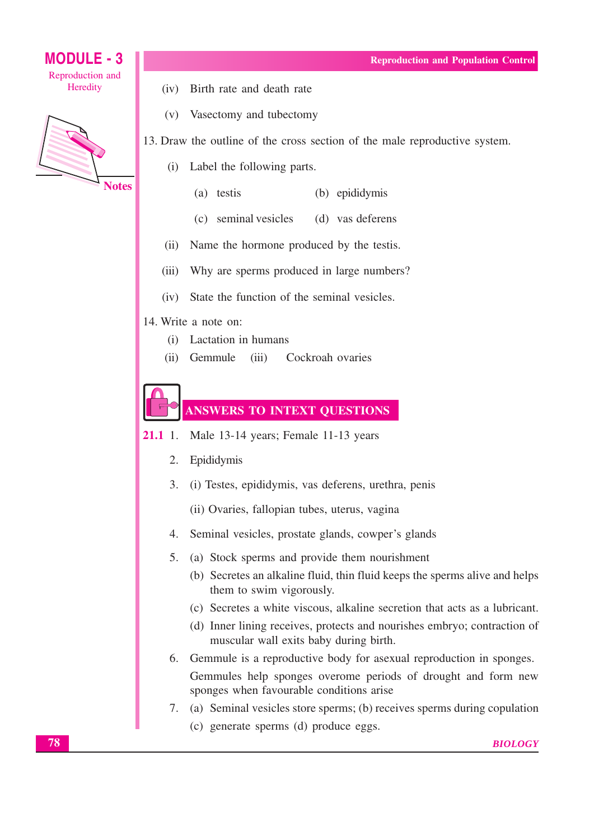

(v) Vasectomy and tubectomy

13. Draw the outline of the cross section of the male reproductive system.

- (i) Label the following parts.
	- (a) testis (b) epididymis
	- (c) seminal vesicles (d) vas deferens
- Name the hormone produced by the testis.  $(ii)$
- Why are sperms produced in large numbers?  $(iii)$
- State the function of the seminal vesicles.  $(iv)$
- 14. Write a note on:
	- (i) Lactation in humans
	- (ii) Gemmule Cockroah ovaries  $(iii)$

**ANSWERS TO INTEXT QUESTIONS** 

- $21.1 \t1.$ Male 13-14 years; Female 11-13 years
	- $2.$ Epididymis
	- 3. (i) Testes, epididymis, vas deferens, urethra, penis
		- (ii) Ovaries, fallopian tubes, uterus, vagina
	- 4. Seminal vesicles, prostate glands, cowper's glands
	- 5. (a) Stock sperms and provide them nourishment
		- (b) Secretes an alkaline fluid, thin fluid keeps the sperms alive and helps them to swim vigorously.
		- (c) Secretes a white viscous, alkaline secretion that acts as a lubricant.
		- (d) Inner lining receives, protects and nourishes embryo; contraction of muscular wall exits baby during birth.
	- 6. Gemmule is a reproductive body for asexual reproduction in sponges.

Gemmules help sponges overome periods of drought and form new sponges when favourable conditions arise

- 7. (a) Seminal vesicles store sperms; (b) receives sperms during copulation (c) generate sperms (d) produce eggs.
	- **BIOLOGY**